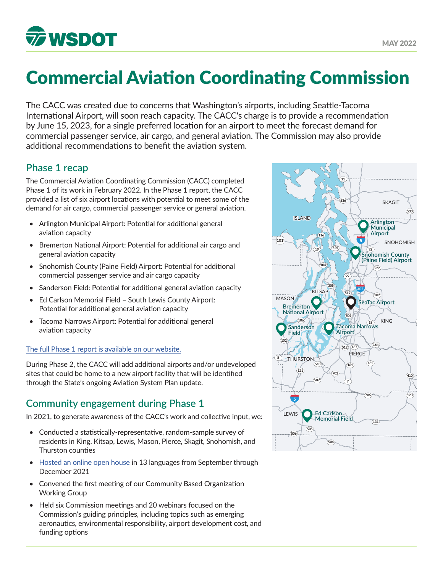

# Commercial Aviation Coordinating Commission

The CACC was created due to concerns that Washington's airports, including Seattle-Tacoma International Airport, will soon reach capacity. The CACC's charge is to provide a recommendation by June 15, 2023, for a single preferred location for an airport to meet the forecast demand for commercial passenger service, air cargo, and general aviation. The Commission may also provide additional recommendations to benefit the aviation system.

## **Phase 1 recap**

The Commercial Aviation Coordinating Commission (CACC) completed Phase 1 of its work in February 2022. In the Phase 1 report, the CACC provided a list of six airport locations with potential to meet some of the demand for air cargo, commercial passenger service or general aviation.

- Arlington Municipal Airport: Potential for additional general aviation capacity
- Bremerton National Airport: Potential for additional air cargo and general aviation capacity
- Snohomish County (Paine Field) Airport: Potential for additional commercial passenger service and air cargo capacity
- Sanderson Field: Potential for additional general aviation capacity
- Ed Carlson Memorial Field South Lewis County Airport: Potential for additional general aviation capacity
- Tacoma Narrows Airport: Potential for additional general aviation capacity

#### [The full Phase 1 report is available on our website.](https://wsdot.wa.gov/sites/default/files/2021-10/Commercial-Aviation-Coordinating-Commission-Report-December2020.pdf)

During Phase 2, the CACC will add additional airports and/or undeveloped **101** sites that could be home to a new airport facility that will be identified **107** through the State's ongoing Aviation System Plan update.

# **Community engagement during Phase 1**

In 2021, to generate awareness of the CACC's work and collective input, we:

- Conducted a statistically-representative, random-sample survey of residents in King, Kitsap, Lewis, Mason, Pierce, Skagit, Snohomish, and **401 4 504** Thurston counties
- [Hosted an online open house](https://wsdot.wa.gov/sites/default/files/2022-01/CACC-OOH-full-report-22021.pdf) in 13 languages from September through December 2021
- Convened the first meeting of our Community Based Organization Working Group
- Held six Commission meetings and 20 webinars focused on the Commission's guiding principles, including topics such as emerging aeronautics, environmental responsibility, airport development cost, and funding options